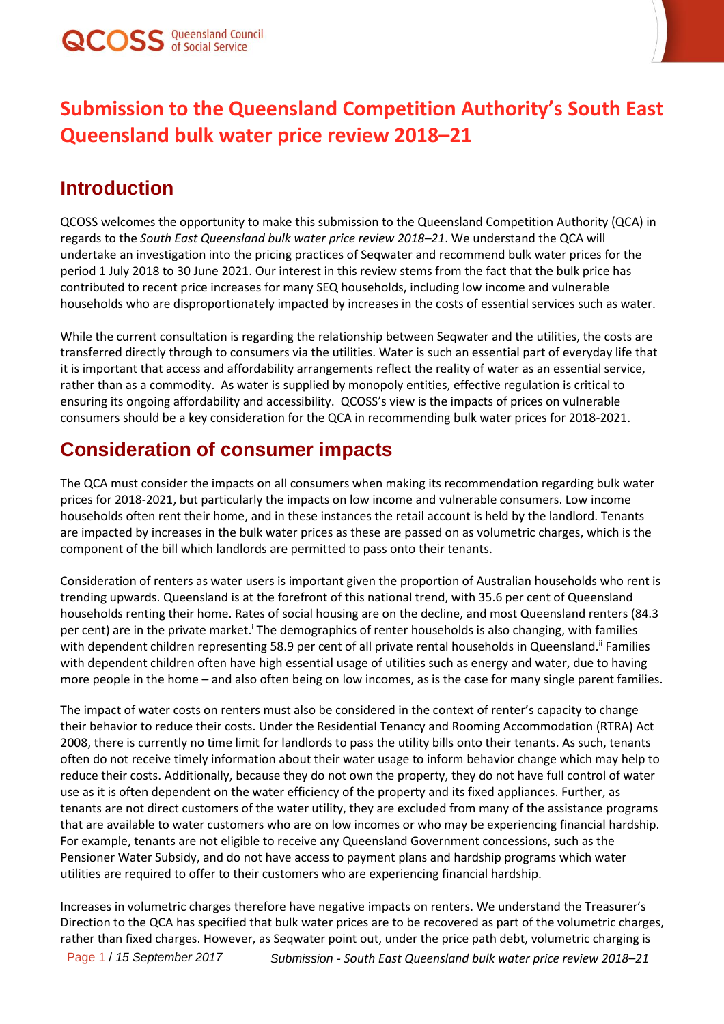

## **Submission to the Queensland Competition Authority's South East Queensland bulk water price review 2018–21**

## **Introduction**

QCOSS welcomes the opportunity to make this submission to the Queensland Competition Authority (QCA) in regards to the *South East Queensland bulk water price review 2018–21*. We understand the QCA will undertake an investigation into the pricing practices of Seqwater and recommend bulk water prices for the period 1 July 2018 to 30 June 2021. Our interest in this review stems from the fact that the bulk price has contributed to recent price increases for many SEQ households, including low income and vulnerable households who are disproportionately impacted by increases in the costs of essential services such as water.

While the current consultation is regarding the relationship between Seqwater and the utilities, the costs are transferred directly through to consumers via the utilities. Water is such an essential part of everyday life that it is important that access and affordability arrangements reflect the reality of water as an essential service, rather than as a commodity. As water is supplied by monopoly entities, effective regulation is critical to ensuring its ongoing affordability and accessibility. QCOSS's view is the impacts of prices on vulnerable consumers should be a key consideration for the QCA in recommending bulk water prices for 2018-2021.

## **Consideration of consumer impacts**

The QCA must consider the impacts on all consumers when making its recommendation regarding bulk water prices for 2018-2021, but particularly the impacts on low income and vulnerable consumers. Low income households often rent their home, and in these instances the retail account is held by the landlord. Tenants are impacted by increases in the bulk water prices as these are passed on as volumetric charges, which is the component of the bill which landlords are permitted to pass onto their tenants.

Consideration of renters as water users is important given the proportion of Australian households who rent is trending upwards. Queensland is at the forefront of this national trend, with 35.6 per cent of Queensland households renting their home. Rates of social housing are on the decline, and most Queensland renters (84.3 per cent) are in the private market.<sup>1</sup> The demographics of renter households is also changing, with families with dependent children representing 58.9 per cent of all private rental households in Queensland.<sup>ii</sup> Families with dependent children often have high essential usage of utilities such as energy and water, due to having more people in the home – and also often being on low incomes, as is the case for many single parent families.

The impact of water costs on renters must also be considered in the context of renter's capacity to change their behavior to reduce their costs. Under the Residential Tenancy and Rooming Accommodation (RTRA) Act 2008, there is currently no time limit for landlords to pass the utility bills onto their tenants. As such, tenants often do not receive timely information about their water usage to inform behavior change which may help to reduce their costs. Additionally, because they do not own the property, they do not have full control of water use as it is often dependent on the water efficiency of the property and its fixed appliances. Further, as tenants are not direct customers of the water utility, they are excluded from many of the assistance programs that are available to water customers who are on low incomes or who may be experiencing financial hardship. For example, tenants are not eligible to receive any Queensland Government concessions, such as the Pensioner Water Subsidy, and do not have access to payment plans and hardship programs which water utilities are required to offer to their customers who are experiencing financial hardship.

Increases in volumetric charges therefore have negative impacts on renters. We understand the Treasurer's Direction to the QCA has specified that bulk water prices are to be recovered as part of the volumetric charges, rather than fixed charges. However, as Seqwater point out, under the price path debt, volumetric charging is

Page 1 / *15 September 2017 Submission - South East Queensland bulk water price review 2018–21*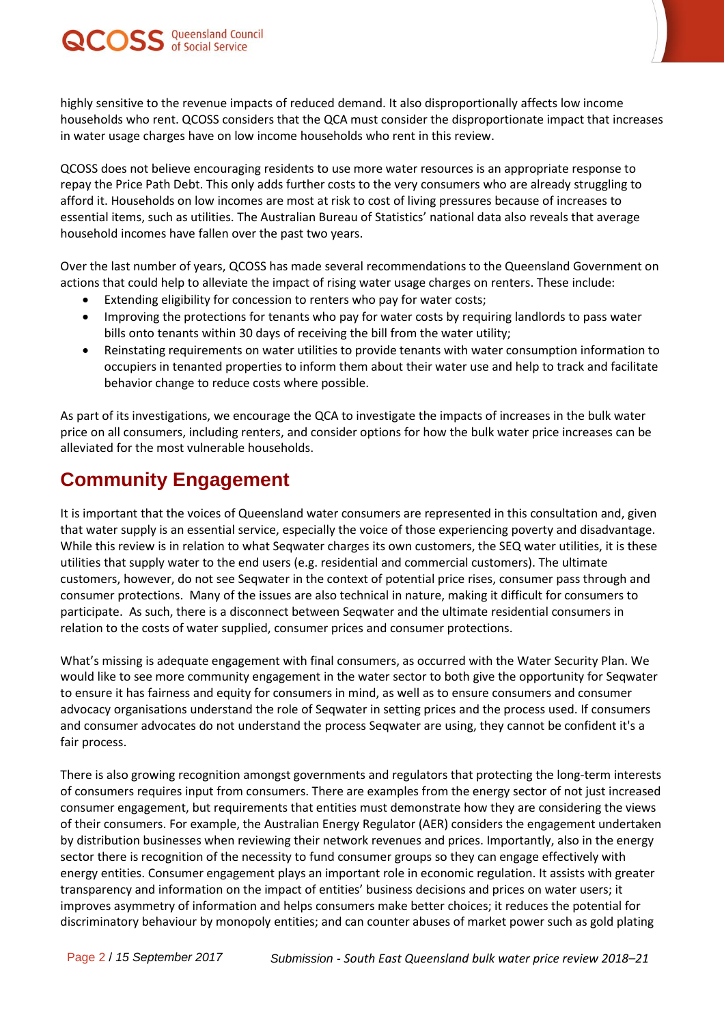

highly sensitive to the revenue impacts of reduced demand. It also disproportionally affects low income households who rent. QCOSS considers that the QCA must consider the disproportionate impact that increases in water usage charges have on low income households who rent in this review.

QCOSS does not believe encouraging residents to use more water resources is an appropriate response to repay the Price Path Debt. This only adds further costs to the very consumers who are already struggling to afford it. Households on low incomes are most at risk to cost of living pressures because of increases to essential items, such as utilities. The Australian Bureau of Statistics' national data also reveals that average household incomes have fallen over the past two years.

Over the last number of years, QCOSS has made several recommendations to the Queensland Government on actions that could help to alleviate the impact of rising water usage charges on renters. These include:

- Extending eligibility for concession to renters who pay for water costs;
- Improving the protections for tenants who pay for water costs by requiring landlords to pass water bills onto tenants within 30 days of receiving the bill from the water utility;
- Reinstating requirements on water utilities to provide tenants with water consumption information to occupiers in tenanted properties to inform them about their water use and help to track and facilitate behavior change to reduce costs where possible.

As part of its investigations, we encourage the QCA to investigate the impacts of increases in the bulk water price on all consumers, including renters, and consider options for how the bulk water price increases can be alleviated for the most vulnerable households.

## **Community Engagement**

It is important that the voices of Queensland water consumers are represented in this consultation and, given that water supply is an essential service, especially the voice of those experiencing poverty and disadvantage. While this review is in relation to what Seqwater charges its own customers, the SEQ water utilities, it is these utilities that supply water to the end users (e.g. residential and commercial customers). The ultimate customers, however, do not see Seqwater in the context of potential price rises, consumer pass through and consumer protections. Many of the issues are also technical in nature, making it difficult for consumers to participate. As such, there is a disconnect between Seqwater and the ultimate residential consumers in relation to the costs of water supplied, consumer prices and consumer protections.

What's missing is adequate engagement with final consumers, as occurred with the Water Security Plan. We would like to see more community engagement in the water sector to both give the opportunity for Seqwater to ensure it has fairness and equity for consumers in mind, as well as to ensure consumers and consumer advocacy organisations understand the role of Seqwater in setting prices and the process used. If consumers and consumer advocates do not understand the process Seqwater are using, they cannot be confident it's a fair process.

There is also growing recognition amongst governments and regulators that protecting the long-term interests of consumers requires input from consumers. There are examples from the energy sector of not just increased consumer engagement, but requirements that entities must demonstrate how they are considering the views of their consumers. For example, the Australian Energy Regulator (AER) considers the engagement undertaken by distribution businesses when reviewing their network revenues and prices. Importantly, also in the energy sector there is recognition of the necessity to fund consumer groups so they can engage effectively with energy entities. Consumer engagement plays an important role in economic regulation. It assists with greater transparency and information on the impact of entities' business decisions and prices on water users; it improves asymmetry of information and helps consumers make better choices; it reduces the potential for discriminatory behaviour by monopoly entities; and can counter abuses of market power such as gold plating